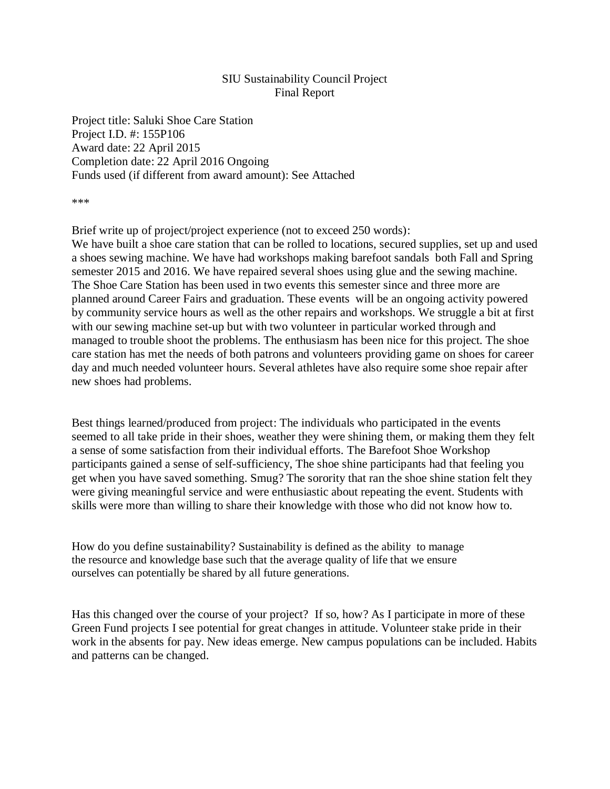## SIU Sustainability Council Project Final Report

Project title: Saluki Shoe Care Station Project I.D. #: 155P106 Award date: 22 April 2015 Completion date: 22 April 2016 Ongoing Funds used (if different from award amount): See Attached

\*\*\*

Brief write up of project/project experience (not to exceed 250 words):

We have built a shoe care station that can be rolled to locations, secured supplies, set up and used a shoes sewing machine. We have had workshops making barefoot sandals both Fall and Spring semester 2015 and 2016. We have repaired several shoes using glue and the sewing machine. The Shoe Care Station has been used in two events this semester since and three more are planned around Career Fairs and graduation. These events will be an ongoing activity powered by community service hours as well as the other repairs and workshops. We struggle a bit at first with our sewing machine set-up but with two volunteer in particular worked through and managed to trouble shoot the problems. The enthusiasm has been nice for this project. The shoe care station has met the needs of both patrons and volunteers providing game on shoes for career day and much needed volunteer hours. Several athletes have also require some shoe repair after new shoes had problems.

Best things learned/produced from project: The individuals who participated in the events seemed to all take pride in their shoes, weather they were shining them, or making them they felt a sense of some satisfaction from their individual efforts. The Barefoot Shoe Workshop participants gained a sense of self-sufficiency, The shoe shine participants had that feeling you get when you have saved something. Smug? The sorority that ran the shoe shine station felt they were giving meaningful service and were enthusiastic about repeating the event. Students with skills were more than willing to share their knowledge with those who did not know how to.

How do you define sustainability? Sustainability is defined as the ability to manage the resource and knowledge base such that the average quality of life that we ensure ourselves can potentially be shared by all future generations.

Has this changed over the course of your project? If so, how? As I participate in more of these Green Fund projects I see potential for great changes in attitude. Volunteer stake pride in their work in the absents for pay. New ideas emerge. New campus populations can be included. Habits and patterns can be changed.